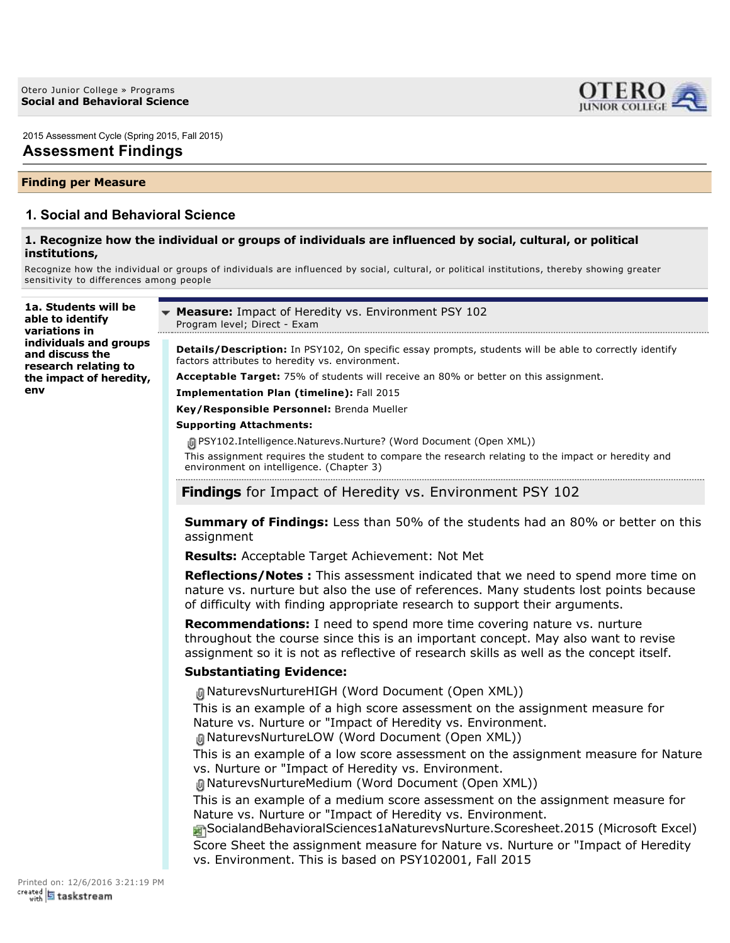

2015 Assessment Cycle (Spring 2015, Fall 2015)

# **Assessment Findings**

### **Finding per Measure**

# **1. Social and Behavioral Science**

### **1. Recognize how the individual or groups of individuals are influenced by social, cultural, or political institutions,**

Recognize how the individual or groups of individuals are influenced by social, cultural, or political institutions, thereby showing greater sensitivity to differences among people

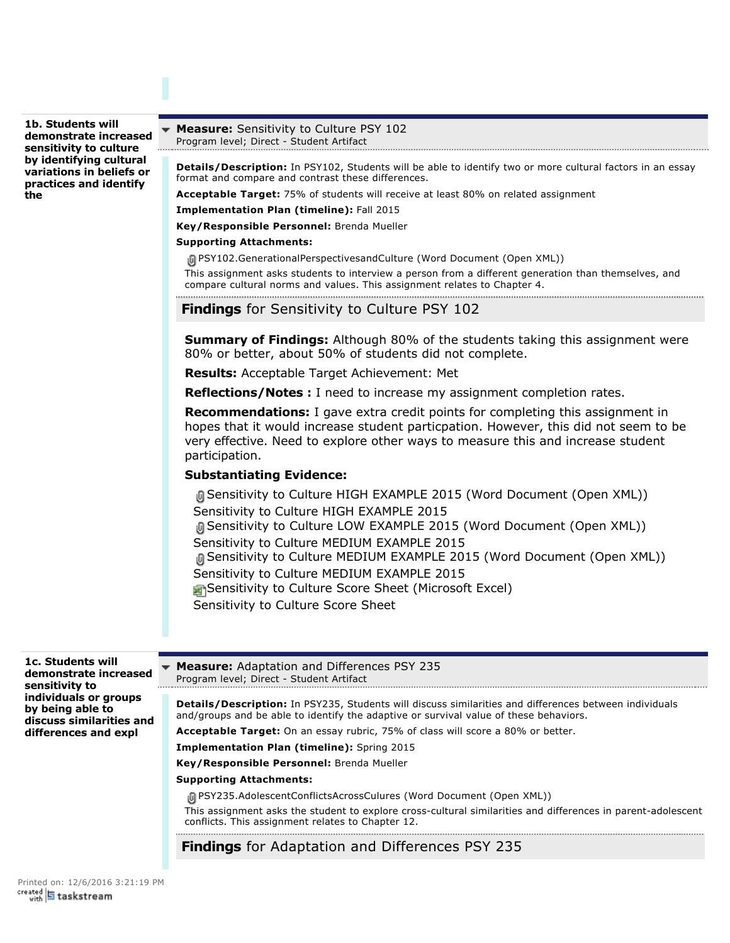**1b. Students will demonstrate increased sensitivity to culture by identifying cultural variations in beliefs or practices and identify the**

#### **Measure:** Sensitivity to Culture PSY 102 Program level; Direct - Student Artifact

**Details/Description:** In PSY102, Students will be able to identify two or more cultural factors in an essay format and compare and contrast these differences.

**Acceptable Target:** 75% of students will receive at least 80% on related assignment

**Implementation Plan (timeline):** Fall 2015

**Key/Responsible Personnel:** Brenda Mueller

### **Supporting Attachments:**

**间PSY102.GenerationalPerspectivesandCulture (Word Document (Open XML))** 

This assignment asks students to interview a person from a different generation than themselves, and compare cultural norms and values. This assignment relates to Chapter 4.

# **Findings** for Sensitivity to Culture PSY 102

**Summary of Findings:** Although 80% of the students taking this assignment were 80% or better, about 50% of students did not complete.

**Results:** Acceptable Target Achievement: Met

**Reflections/Notes :** I need to increase my assignment completion rates.

**Recommendations:** I gave extra credit points for completing this assignment in hopes that it would increase student particpation. However, this did not seem to be very effective. Need to explore other ways to measure this and increase student participation.

## **Substantiating Evidence:**

Sensitivity to Culture HIGH EXAMPLE 2015 (Word Document (Open XML)) Sensitivity to Culture HIGH EXAMPLE 2015 Sensitivity to Culture LOW EXAMPLE 2015 (Word Document (Open XML)) Sensitivity to Culture MEDIUM EXAMPLE 2015 Sensitivity to Culture MEDIUM EXAMPLE 2015 (Word Document (Open XML)) Sensitivity to Culture MEDIUM EXAMPLE 2015 Sensitivity to Culture Score Sheet (Microsoft Excel) Sensitivity to Culture Score Sheet

**1c. Students will Measure:** Adaptation and Differences PSY 235 **demonstrate increased** Program level; Direct - Student Artifact **sensitivity to individuals or groups Details/Description:** In PSY235, Students will discuss similarities and differences between individuals **by being able to** and/groups and be able to identify the adaptive or survival value of these behaviors. **discuss similarities and differences and expl Acceptable Target:** On an essay rubric, 75% of class will score a 80% or better. **Implementation Plan (timeline):** Spring 2015 **Key/Responsible Personnel:** Brenda Mueller **Supporting Attachments: 间PSY235.AdolescentConflictsAcrossCulures (Word Document (Open XML))** This assignment asks the student to explore cross-cultural similarities and differences in parent-adolescent conflicts. This assignment relates to Chapter 12. **Findings** for Adaptation and Differences PSY 235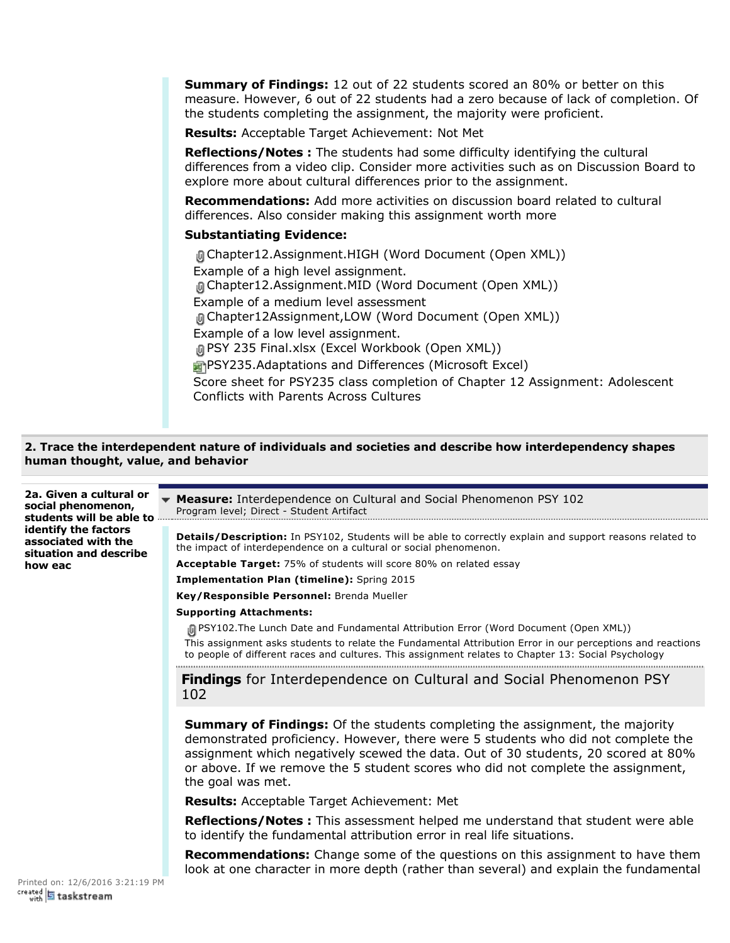**Summary of Findings:** 12 out of 22 students scored an 80% or better on this measure. However, 6 out of 22 students had a zero because of lack of completion. Of the students completing the assignment, the majority were proficient.

**Results:** Acceptable Target Achievement: Not Met

**Reflections/Notes :** The students had some difficulty identifying the cultural differences from a video clip. Consider more activities such as on Discussion Board to explore more about cultural differences prior to the assignment.

**Recommendations:** Add more activities on discussion board related to cultural differences. Also consider making this assignment worth more

# **Substantiating Evidence:**

Chapter12.Assignment.HIGH (Word Document (Open XML)) Example of a high level assignment. Chapter12.Assignment.MID (Word Document (Open XML)) Example of a medium level assessment Chapter12Assignment,LOW (Word Document (Open XML)) Example of a low level assignment. PSY 235 Final.xlsx (Excel Workbook (Open XML)) **PSY235.Adaptations and Differences (Microsoft Excel)** Score sheet for PSY235 class completion of Chapter 12 Assignment: Adolescent Conflicts with Parents Across Cultures

# **2. Trace the interdependent nature of individuals and societies and describe how interdependency shapes human thought, value, and behavior**

**2a. Given a cultural or Measure:** Interdependence on Cultural and Social Phenomenon PSY 102 **social phenomenon,** Program level; Direct - Student Artifact<br>Program level; Direct - Student Artifact **students will be able to identify the factors Details/Description:** In PSY102, Students will be able to correctly explain and support reasons related to **associated with the** the impact of interdependence on a cultural or social phenomenon. **situation and describe Acceptable Target:** 75% of students will score 80% on related essay **how eac Implementation Plan (timeline):** Spring 2015 **Key/Responsible Personnel:** Brenda Mueller **Supporting Attachments:** PSY102.The Lunch Date and Fundamental Attribution Error (Word Document (Open XML)) This assignment asks students to relate the Fundamental Attribution Error in our perceptions and reactions to people of different races and cultures. This assignment relates to Chapter 13: Social Psychology **Findings** for Interdependence on Cultural and Social Phenomenon PSY 102 **Summary of Findings:** Of the students completing the assignment, the majority demonstrated proficiency. However, there were 5 students who did not complete the assignment which negatively scewed the data. Out of 30 students, 20 scored at 80% or above. If we remove the 5 student scores who did not complete the assignment, the goal was met. **Results:** Acceptable Target Achievement: Met **Reflections/Notes :** This assessment helped me understand that student were able to identify the fundamental attribution error in real life situations. **Recommendations:** Change some of the questions on this assignment to have them look at one character in more depth (rather than several) and explain the fundamental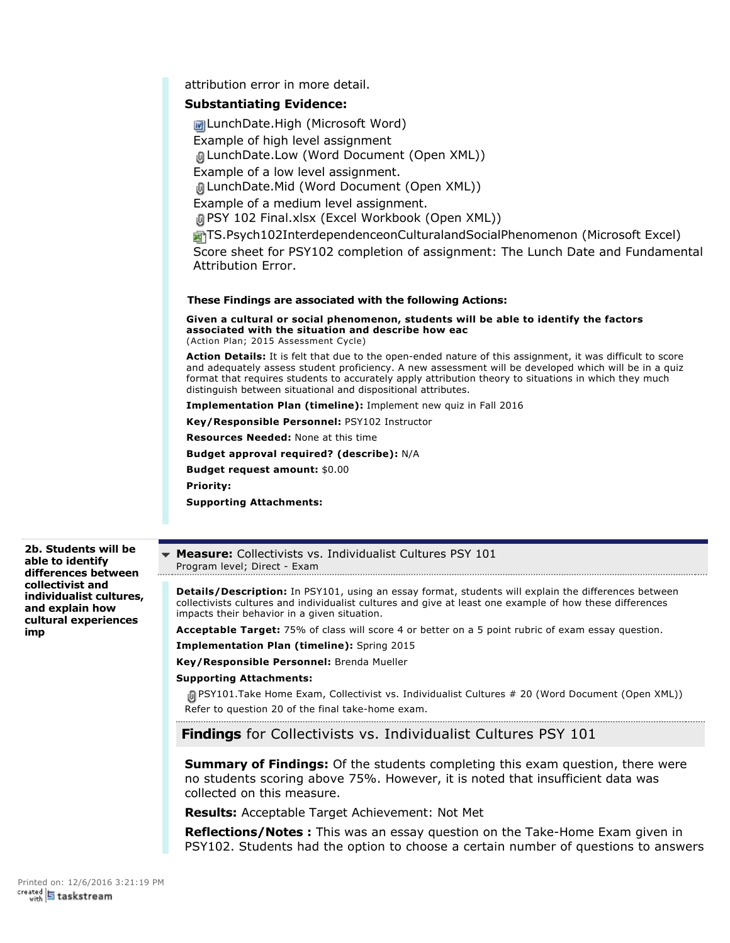|                    | <b>M</b> LunchDate.High (Microsoft Word)                                                                                                                                                                                                                                                                                                                                                             |
|--------------------|------------------------------------------------------------------------------------------------------------------------------------------------------------------------------------------------------------------------------------------------------------------------------------------------------------------------------------------------------------------------------------------------------|
|                    | Example of high level assignment                                                                                                                                                                                                                                                                                                                                                                     |
|                    | 间 LunchDate.Low (Word Document (Open XML))                                                                                                                                                                                                                                                                                                                                                           |
|                    | Example of a low level assignment.                                                                                                                                                                                                                                                                                                                                                                   |
|                    | 间 LunchDate.Mid (Word Document (Open XML))                                                                                                                                                                                                                                                                                                                                                           |
|                    | Example of a medium level assignment.                                                                                                                                                                                                                                                                                                                                                                |
|                    | 画 PSY 102 Final.xlsx (Excel Workbook (Open XML))                                                                                                                                                                                                                                                                                                                                                     |
|                    | TS.Psych102InterdependenceonCulturalandSocialPhenomenon (Microsoft Excel)                                                                                                                                                                                                                                                                                                                            |
|                    | Score sheet for PSY102 completion of assignment: The Lunch Date and Fundamental                                                                                                                                                                                                                                                                                                                      |
| Attribution Error. |                                                                                                                                                                                                                                                                                                                                                                                                      |
|                    |                                                                                                                                                                                                                                                                                                                                                                                                      |
|                    |                                                                                                                                                                                                                                                                                                                                                                                                      |
|                    | These Findings are associated with the following Actions:                                                                                                                                                                                                                                                                                                                                            |
|                    | Given a cultural or social phenomenon, students will be able to identify the factors<br>associated with the situation and describe how eac<br>(Action Plan; 2015 Assessment Cycle)                                                                                                                                                                                                                   |
|                    | <b>Action Details:</b> It is felt that due to the open-ended nature of this assignment, it was difficult to score<br>and adequately assess student proficiency. A new assessment will be developed which will be in a quiz<br>format that requires students to accurately apply attribution theory to situations in which they much<br>distinguish between situational and dispositional attributes. |
|                    | <b>Implementation Plan (timeline):</b> Implement new quiz in Fall 2016                                                                                                                                                                                                                                                                                                                               |
|                    | Key/Responsible Personnel: PSY102 Instructor                                                                                                                                                                                                                                                                                                                                                         |
|                    | <b>Resources Needed: None at this time</b>                                                                                                                                                                                                                                                                                                                                                           |
|                    | <b>Budget approval required? (describe):</b> N/A                                                                                                                                                                                                                                                                                                                                                     |

**Budget request amount:** \$0.00

attribution error in more detail. **Substantiating Evidence:**

**Priority:**

**Supporting Attachments:**

**2b. Students will be able to identify differences between collectivist and individualist cultures, and explain how cultural experiences imp**

**Measure:** Collectivists vs. Individualist Cultures PSY 101 Program level; Direct - Exam 

**Details/Description:** In PSY101, using an essay format, students will explain the differences between collectivists cultures and individualist cultures and give at least one example of how these differences impacts their behavior in a given situation.

**Acceptable Target:** 75% of class will score 4 or better on a 5 point rubric of exam essay question.

**Implementation Plan (timeline):** Spring 2015

**Key/Responsible Personnel:** Brenda Mueller

### **Supporting Attachments:**

PSY101.Take Home Exam, Collectivist vs. Individualist Cultures # 20 (Word Document (Open XML)) Refer to question 20 of the final take-home exam.

# **Findings** for Collectivists vs. Individualist Cultures PSY 101

**Summary of Findings:** Of the students completing this exam question, there were no students scoring above 75%. However, it is noted that insufficient data was collected on this measure.

**Results:** Acceptable Target Achievement: Not Met

**Reflections/Notes :** This was an essay question on the Take-Home Exam given in PSY102. Students had the option to choose a certain number of questions to answers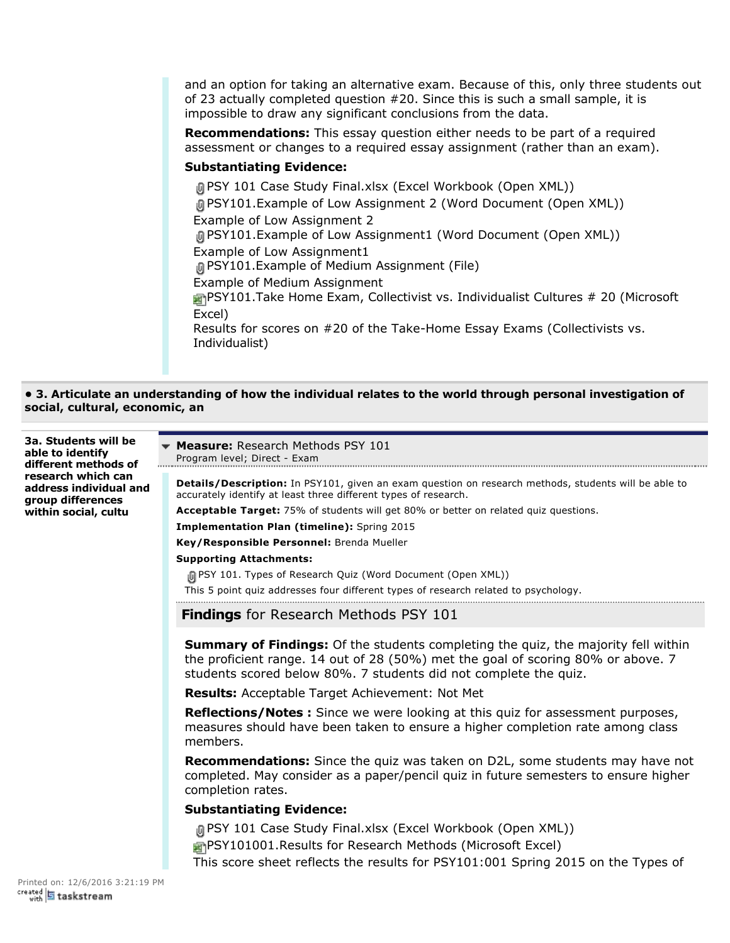and an option for taking an alternative exam. Because of this, only three students out of 23 actually completed question #20. Since this is such a small sample, it is impossible to draw any significant conclusions from the data.

**Recommendations:** This essay question either needs to be part of a required assessment or changes to a required essay assignment (rather than an exam).

# **Substantiating Evidence:**

PSY 101 Case Study Final.xlsx (Excel Workbook (Open XML)) PSY101.Example of Low Assignment 2 (Word Document (Open XML)) Example of Low Assignment 2 PSY101.Example of Low Assignment1 (Word Document (Open XML)) Example of Low Assignment1 PSY101.Example of Medium Assignment (File) Example of Medium Assignment **PSY101.Take Home Exam, Collectivist vs. Individualist Cultures # 20 (Microsoft**) Excel) Results for scores on  $#20$  of the Take-Home Essay Exams (Collectivists vs. Individualist)

**• 3. Articulate an understanding of how the individual relates to the world through personal investigation of social, cultural, economic, an**

**3a. Students will be able to identify different methods of research which can address individual and group differences within social, cultu**

**Measure:** Research Methods PSY 101 Program level; Direct - Exam

**Details/Description:** In PSY101, given an exam question on research methods, students will be able to accurately identify at least three different types of research.

**Acceptable Target:** 75% of students will get 80% or better on related quiz questions.

**Implementation Plan (timeline):** Spring 2015

**Key/Responsible Personnel:** Brenda Mueller

## **Supporting Attachments:**

<sup>1</sup> PSY 101. Types of Research Quiz (Word Document (Open XML))

This 5 point quiz addresses four different types of research related to psychology.

**Findings** for Research Methods PSY 101

**Summary of Findings:** Of the students completing the quiz, the majority fell within the proficient range. 14 out of 28 (50%) met the goal of scoring 80% or above. 7 students scored below 80%. 7 students did not complete the quiz.

**Results:** Acceptable Target Achievement: Not Met

**Reflections/Notes :** Since we were looking at this quiz for assessment purposes, measures should have been taken to ensure a higher completion rate among class members.

**Recommendations:** Since the quiz was taken on D2L, some students may have not completed. May consider as a paper/pencil quiz in future semesters to ensure higher completion rates.

# **Substantiating Evidence:**

PSY 101 Case Study Final.xlsx (Excel Workbook (Open XML)) **PSY101001.Results for Research Methods (Microsoft Excel)** This score sheet reflects the results for PSY101:001 Spring 2015 on the Types of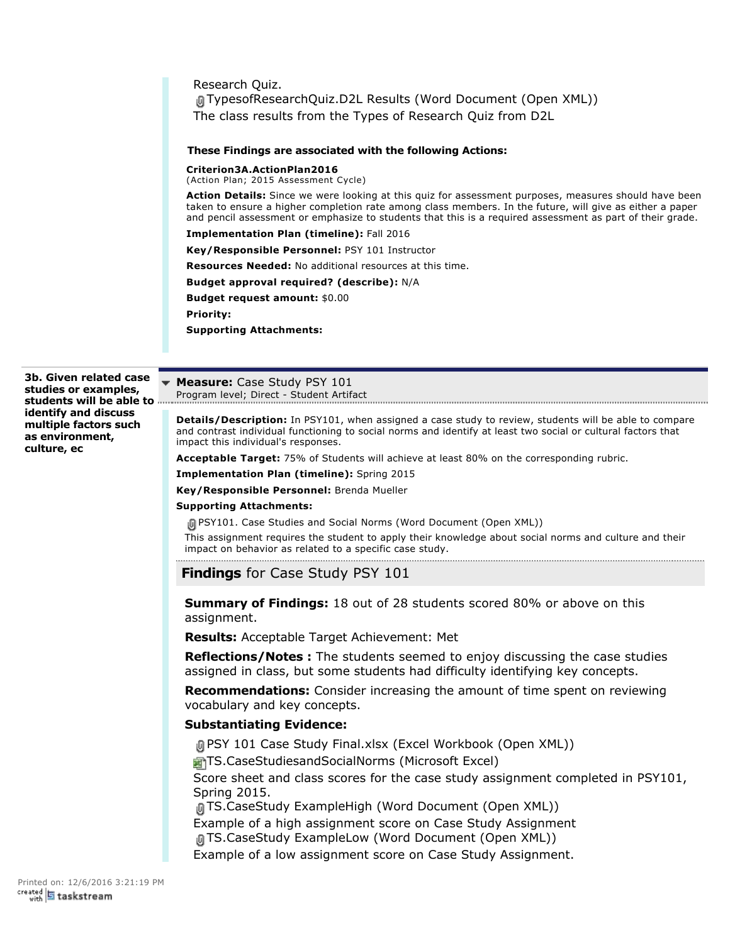Research Quiz. TypesofResearchQuiz.D2L Results (Word Document (Open XML)) The class results from the Types of Research Quiz from D2L

#### **These Findings are associated with the following Actions:**

**Criterion3A.ActionPlan2016**

(Action Plan; 2015 Assessment Cycle)

**Action Details:** Since we were looking at this quiz for assessment purposes, measures should have been taken to ensure a higher completion rate among class members. In the future, will give as either a paper and pencil assessment or emphasize to students that this is a required assessment as part of their grade.

**Implementation Plan (timeline):** Fall 2016

**Key/Responsible Personnel:** PSY 101 Instructor

**Resources Needed:** No additional resources at this time.

**Budget approval required? (describe):** N/A

**Budget request amount:** \$0.00

**Priority:**

**Supporting Attachments:**

**3b. Given related case studies or examples, students will be able to identify and discuss multiple factors such as environment, culture, ec**

**Measure:** Case Study PSY 101 Program level; Direct - Student Artifact

**Details/Description:** In PSY101, when assigned a case study to review, students will be able to compare and contrast individual functioning to social norms and identify at least two social or cultural factors that impact this individual's responses.

**Acceptable Target:** 75% of Students will achieve at least 80% on the corresponding rubric.

**Implementation Plan (timeline):** Spring 2015

**Key/Responsible Personnel:** Brenda Mueller

#### **Supporting Attachments:**

PSY101. Case Studies and Social Norms (Word Document (Open XML))

This assignment requires the student to apply their knowledge about social norms and culture and their impact on behavior as related to a specific case study.

**Findings** for Case Study PSY 101

**Summary of Findings:** 18 out of 28 students scored 80% or above on this assignment.

**Results:** Acceptable Target Achievement: Met

**Reflections/Notes :** The students seemed to enjoy discussing the case studies assigned in class, but some students had difficulty identifying key concepts.

**Recommendations:** Consider increasing the amount of time spent on reviewing vocabulary and key concepts.

## **Substantiating Evidence:**

PSY 101 Case Study Final.xlsx (Excel Workbook (Open XML)) TS.CaseStudiesandSocialNorms (Microsoft Excel) Score sheet and class scores for the case study assignment completed in PSY101, Spring 2015.

TS.CaseStudy ExampleHigh (Word Document (Open XML)) Example of a high assignment score on Case Study Assignment

TS.CaseStudy ExampleLow (Word Document (Open XML))

Example of a low assignment score on Case Study Assignment.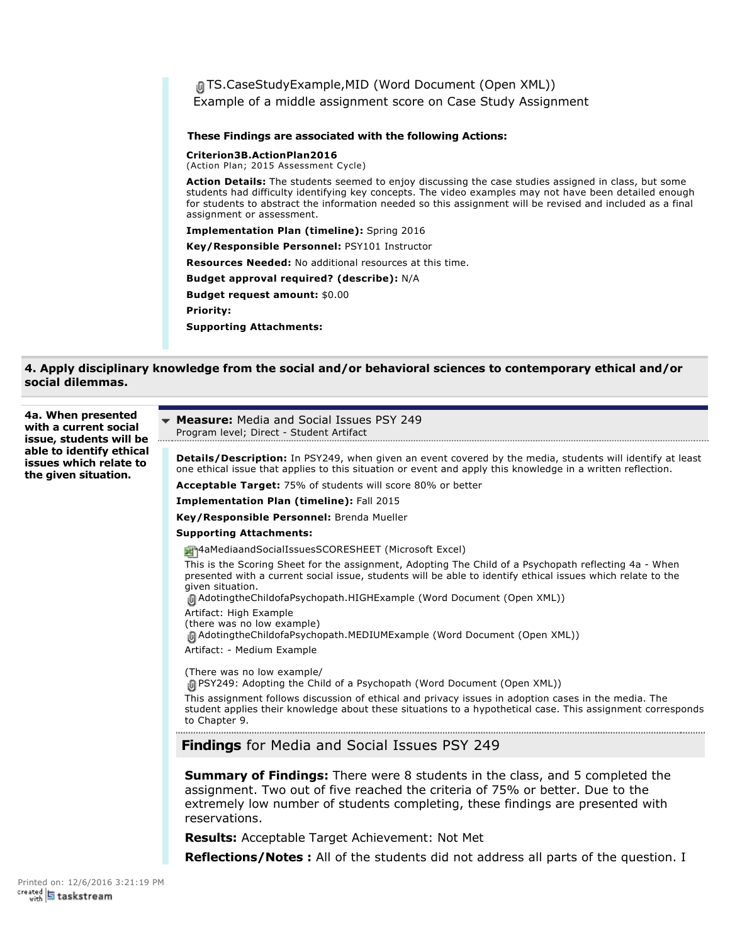TS.CaseStudyExample,MID (Word Document (Open XML)) Example of a middle assignment score on Case Study Assignment **These Findings are associated with the following Actions: Criterion3B.ActionPlan2016** (Action Plan; 2015 Assessment Cycle) **Action Details:** The students seemed to enjoy discussing the case studies assigned in class, but some students had difficulty identifying key concepts. The video examples may not have been detailed enough for students to abstract the information needed so this assignment will be revised and included as a final assignment or assessment. **Implementation Plan (timeline):** Spring 2016 **Key/Responsible Personnel:** PSY101 Instructor **Resources Needed:** No additional resources at this time. **Budget approval required? (describe):** N/A **Budget request amount:** \$0.00 **Priority: Supporting Attachments:**

# **4. Apply disciplinary knowledge from the social and/or behavioral sciences to contemporary ethical and/or social dilemmas.**

| 4a. When presented<br>with a current social<br>issue, students will be<br>able to identify ethical<br>issues which relate to<br>the given situation. | <b>Measure:</b> Media and Social Issues PSY 249<br>Program level; Direct - Student Artifact                                                                                                                                                                             |
|------------------------------------------------------------------------------------------------------------------------------------------------------|-------------------------------------------------------------------------------------------------------------------------------------------------------------------------------------------------------------------------------------------------------------------------|
|                                                                                                                                                      | <b>Details/Description:</b> In PSY249, when given an event covered by the media, students will identify at least<br>one ethical issue that applies to this situation or event and apply this knowledge in a written reflection.                                         |
|                                                                                                                                                      | <b>Acceptable Target: 75% of students will score 80% or better</b>                                                                                                                                                                                                      |
|                                                                                                                                                      | <b>Implementation Plan (timeline): Fall 2015</b>                                                                                                                                                                                                                        |
|                                                                                                                                                      | Key/Responsible Personnel: Brenda Mueller                                                                                                                                                                                                                               |
|                                                                                                                                                      | <b>Supporting Attachments:</b>                                                                                                                                                                                                                                          |
|                                                                                                                                                      | 4aMediaandSocialIssuesSCORESHEET (Microsoft Excel)                                                                                                                                                                                                                      |
|                                                                                                                                                      | This is the Scoring Sheet for the assignment, Adopting The Child of a Psychopath reflecting 4a - When<br>presented with a current social issue, students will be able to identify ethical issues which relate to the<br>given situation.                                |
|                                                                                                                                                      | M AdotingtheChildofaPsychopath.HIGHExample (Word Document (Open XML))                                                                                                                                                                                                   |
|                                                                                                                                                      | Artifact: High Example<br>(there was no low example)<br>[ Adotingthe Childofa Psychopath. MEDIUM Example (Word Document (Open XML))                                                                                                                                     |
|                                                                                                                                                      | Artifact: - Medium Example                                                                                                                                                                                                                                              |
|                                                                                                                                                      | (There was no low example/<br>(Open XML) In PSY249: Adopting the Child of a Psychopath (Word Document (Open XML))                                                                                                                                                       |
|                                                                                                                                                      | This assignment follows discussion of ethical and privacy issues in adoption cases in the media. The<br>student applies their knowledge about these situations to a hypothetical case. This assignment corresponds<br>to Chapter 9.                                     |
|                                                                                                                                                      | <b>Findings</b> for Media and Social Issues PSY 249                                                                                                                                                                                                                     |
|                                                                                                                                                      | <b>Summary of Findings:</b> There were 8 students in the class, and 5 completed the<br>assignment. Two out of five reached the criteria of 75% or better. Due to the<br>extremely low number of students completing, these findings are presented with<br>reservations. |
|                                                                                                                                                      | <b>Results:</b> Acceptable Target Achievement: Not Met                                                                                                                                                                                                                  |
|                                                                                                                                                      | <b>Reflections/Notes:</b> All of the students did not address all parts of the question. I                                                                                                                                                                              |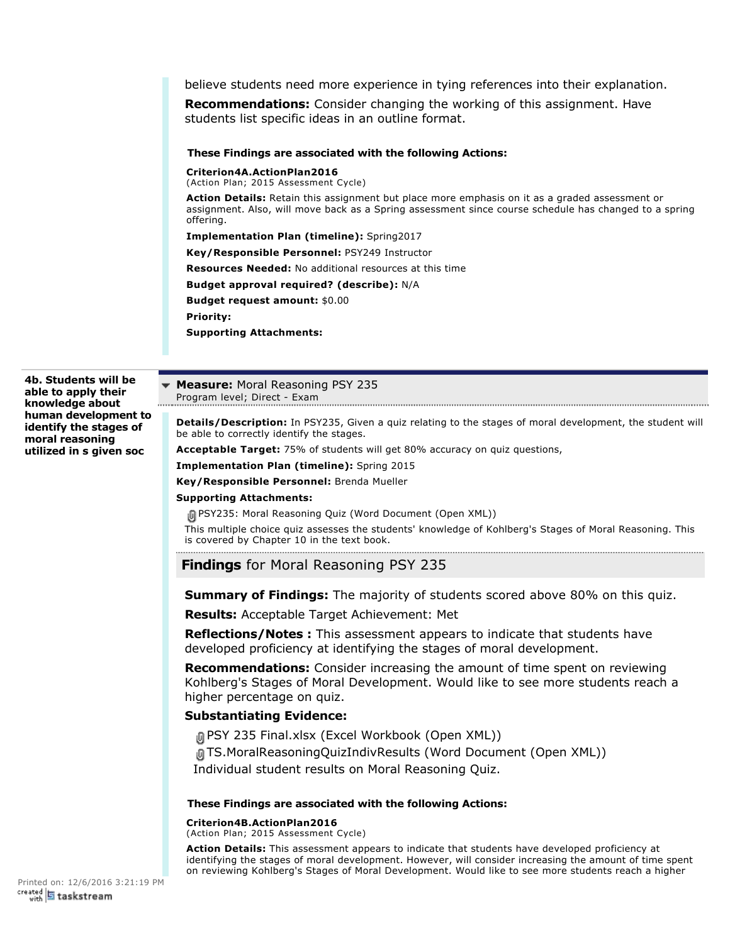believe students need more experience in tying references into their explanation.

**Recommendations:** Consider changing the working of this assignment. Have students list specific ideas in an outline format.

### **These Findings are associated with the following Actions:**

**Criterion4A.ActionPlan2016**

(Action Plan; 2015 Assessment Cycle)

**Action Details:** Retain this assignment but place more emphasis on it as a graded assessment or assignment. Also, will move back as a Spring assessment since course schedule has changed to a spring offering.

**Implementation Plan (timeline):** Spring2017

**Key/Responsible Personnel:** PSY249 Instructor

**Resources Needed:** No additional resources at this time

**Budget approval required? (describe):** N/A

**Budget request amount:** \$0.00

**Priority:**

**Supporting Attachments:**

**4b. Students will be able to apply their knowledge about human development to identify the stages of moral reasoning utilized in s given soc**

**Measure:** Moral Reasoning PSY 235 Program level; Direct - Exam

**Details/Description:** In PSY235, Given a quiz relating to the stages of moral development, the student will be able to correctly identify the stages.

**Acceptable Target:** 75% of students will get 80% accuracy on quiz questions,

**Implementation Plan (timeline):** Spring 2015

**Key/Responsible Personnel:** Brenda Mueller

#### **Supporting Attachments:**

PSY235: Moral Reasoning Quiz (Word Document (Open XML))

This multiple choice quiz assesses the students' knowledge of Kohlberg's Stages of Moral Reasoning. This is covered by Chapter 10 in the text book. 

**Findings** for Moral Reasoning PSY 235

**Summary of Findings:** The majority of students scored above 80% on this quiz.

**Results:** Acceptable Target Achievement: Met

**Reflections/Notes :** This assessment appears to indicate that students have developed proficiency at identifying the stages of moral development.

**Recommendations:** Consider increasing the amount of time spent on reviewing Kohlberg's Stages of Moral Development. Would like to see more students reach a higher percentage on quiz.

### **Substantiating Evidence:**

PSY 235 Final.xlsx (Excel Workbook (Open XML)) TS.MoralReasoningQuizIndivResults (Word Document (Open XML)) Individual student results on Moral Reasoning Quiz.

#### **These Findings are associated with the following Actions:**

#### **Criterion4B.ActionPlan2016**

(Action Plan; 2015 Assessment Cycle)

**Action Details:** This assessment appears to indicate that students have developed proficiency at identifying the stages of moral development. However, will consider increasing the amount of time spent on reviewing Kohlberg's Stages of Moral Development. Would like to see more students reach a higher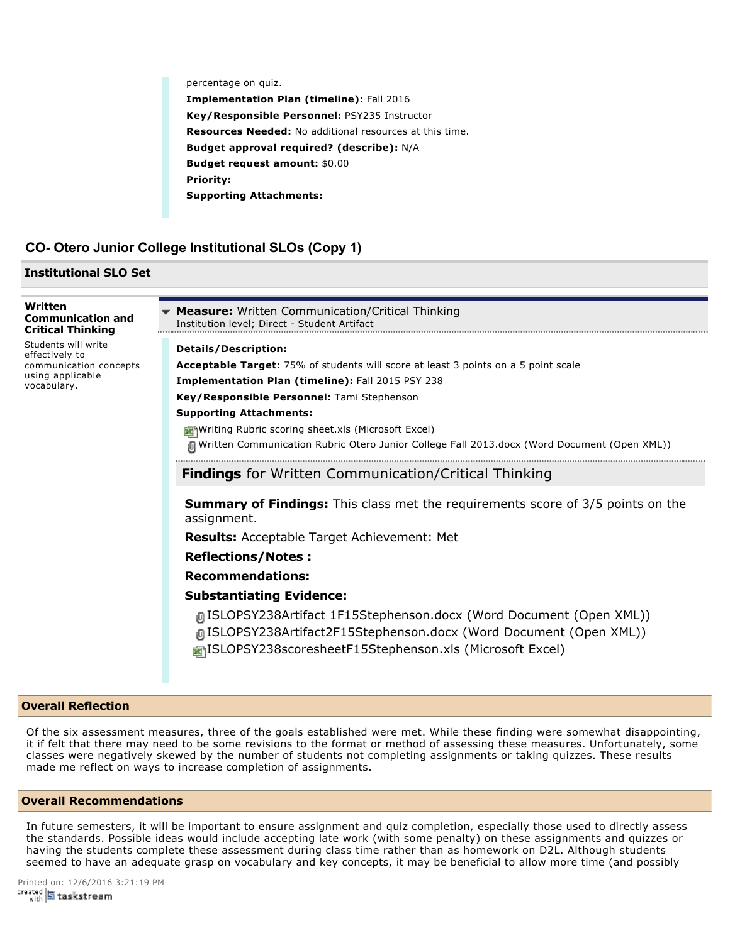percentage on quiz.

**Implementation Plan (timeline):** Fall 2016 **Key/Responsible Personnel:** PSY235 Instructor **Resources Needed:** No additional resources at this time. **Budget approval required? (describe):** N/A **Budget request amount:** \$0.00 **Priority: Supporting Attachments:**

# **CO Otero Junior College Institutional SLOs (Copy 1)**

### **Institutional SLO Set**

| Written<br><b>Communication and</b><br><b>Critical Thinking</b>                                    | <b>Measure:</b> Written Communication/Critical Thinking<br>Institution level; Direct - Student Artifact                                                                                              |
|----------------------------------------------------------------------------------------------------|------------------------------------------------------------------------------------------------------------------------------------------------------------------------------------------------------|
| Students will write<br>effectively to<br>communication concepts<br>using applicable<br>vocabulary. | <b>Details/Description:</b>                                                                                                                                                                          |
|                                                                                                    | Acceptable Target: 75% of students will score at least 3 points on a 5 point scale                                                                                                                   |
|                                                                                                    | Implementation Plan (timeline): Fall 2015 PSY 238                                                                                                                                                    |
|                                                                                                    | Key/Responsible Personnel: Tami Stephenson                                                                                                                                                           |
|                                                                                                    | <b>Supporting Attachments:</b>                                                                                                                                                                       |
|                                                                                                    | <b>Mriting Rubric scoring sheet.xls (Microsoft Excel)</b>                                                                                                                                            |
|                                                                                                    | (Open XML) Mritten Communication Rubric Otero Junior College Fall 2013.docx (Word Document (Open XML)                                                                                                |
|                                                                                                    | <b>Findings</b> for Written Communication/Critical Thinking                                                                                                                                          |
|                                                                                                    | <b>Summary of Findings:</b> This class met the requirements score of 3/5 points on the<br>assignment.                                                                                                |
|                                                                                                    | <b>Results:</b> Acceptable Target Achievement: Met                                                                                                                                                   |
|                                                                                                    | <b>Reflections/Notes:</b>                                                                                                                                                                            |
|                                                                                                    | <b>Recommendations:</b>                                                                                                                                                                              |
|                                                                                                    | <b>Substantiating Evidence:</b>                                                                                                                                                                      |
|                                                                                                    | [GISLOPSY238Artifact 1F15Stephenson.docx (Word Document (Open XML))<br>[GISLOPSY238Artifact2F15Stephenson.docx (Word Document (Open XML))<br>ISLOPSY238scoresheetF15Stephenson.xls (Microsoft Excel) |

### **Overall Reflection**

Of the six assessment measures, three of the goals established were met. While these finding were somewhat disappointing, it if felt that there may need to be some revisions to the format or method of assessing these measures. Unfortunately, some classes were negatively skewed by the number of students not completing assignments or taking quizzes. These results made me reflect on ways to increase completion of assignments.

### **Overall Recommendations**

In future semesters, it will be important to ensure assignment and quiz completion, especially those used to directly assess the standards. Possible ideas would include accepting late work (with some penalty) on these assignments and quizzes or having the students complete these assessment during class time rather than as homework on D2L. Although students seemed to have an adequate grasp on vocabulary and key concepts, it may be beneficial to allow more time (and possibly